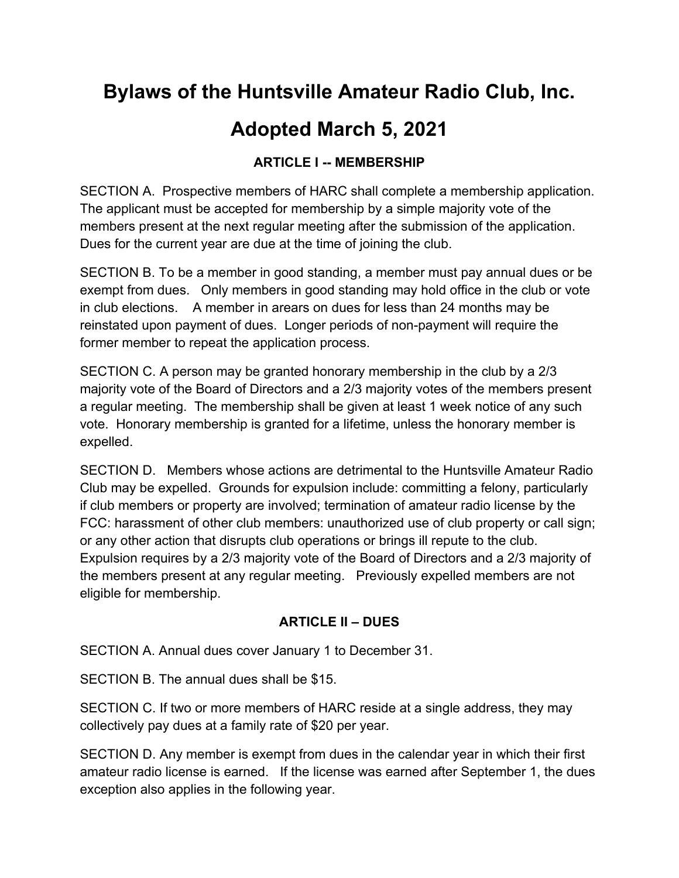# **Bylaws of the Huntsville Amateur Radio Club, Inc.**

# **Adopted March 5, 2021**

## **ARTICLE I -- MEMBERSHIP**

SECTION A. Prospective members of HARC shall complete a membership application. The applicant must be accepted for membership by a simple majority vote of the members present at the next regular meeting after the submission of the application. Dues for the current year are due at the time of joining the club.

SECTION B. To be a member in good standing, a member must pay annual dues or be exempt from dues. Only members in good standing may hold office in the club or vote in club elections. A member in arears on dues for less than 24 months may be reinstated upon payment of dues. Longer periods of non-payment will require the former member to repeat the application process.

SECTION C. A person may be granted honorary membership in the club by a 2/3 majority vote of the Board of Directors and a 2/3 majority votes of the members present a regular meeting. The membership shall be given at least 1 week notice of any such vote. Honorary membership is granted for a lifetime, unless the honorary member is expelled.

SECTION D. Members whose actions are detrimental to the Huntsville Amateur Radio Club may be expelled. Grounds for expulsion include: committing a felony, particularly if club members or property are involved; termination of amateur radio license by the FCC: harassment of other club members: unauthorized use of club property or call sign; or any other action that disrupts club operations or brings ill repute to the club. Expulsion requires by a 2/3 majority vote of the Board of Directors and a 2/3 majority of the members present at any regular meeting. Previously expelled members are not eligible for membership.

## **ARTICLE II – DUES**

SECTION A. Annual dues cover January 1 to December 31.

SECTION B. The annual dues shall be \$15.

SECTION C. If two or more members of HARC reside at a single address, they may collectively pay dues at a family rate of \$20 per year.

SECTION D. Any member is exempt from dues in the calendar year in which their first amateur radio license is earned. If the license was earned after September 1, the dues exception also applies in the following year.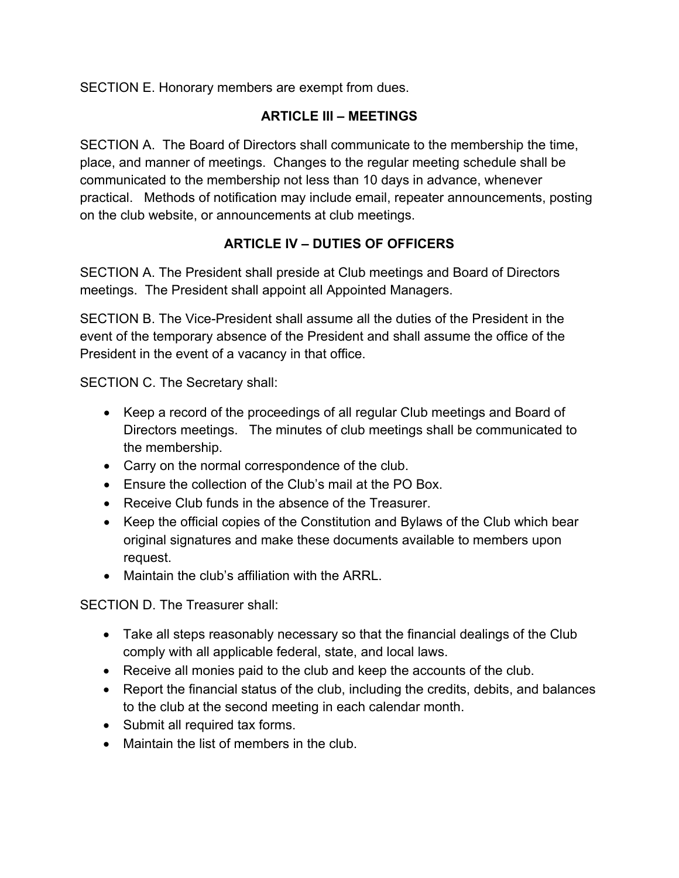SECTION E. Honorary members are exempt from dues.

## **ARTICLE III – MEETINGS**

SECTION A. The Board of Directors shall communicate to the membership the time, place, and manner of meetings. Changes to the regular meeting schedule shall be communicated to the membership not less than 10 days in advance, whenever practical. Methods of notification may include email, repeater announcements, posting on the club website, or announcements at club meetings.

## **ARTICLE IV – DUTIES OF OFFICERS**

SECTION A. The President shall preside at Club meetings and Board of Directors meetings. The President shall appoint all Appointed Managers.

SECTION B. The Vice-President shall assume all the duties of the President in the event of the temporary absence of the President and shall assume the office of the President in the event of a vacancy in that office.

SECTION C. The Secretary shall:

- Keep a record of the proceedings of all regular Club meetings and Board of Directors meetings. The minutes of club meetings shall be communicated to the membership.
- Carry on the normal correspondence of the club.
- Ensure the collection of the Club's mail at the PO Box.
- Receive Club funds in the absence of the Treasurer.
- Keep the official copies of the Constitution and Bylaws of the Club which bear original signatures and make these documents available to members upon request.
- Maintain the club's affiliation with the ARRL.

SECTION D. The Treasurer shall:

- Take all steps reasonably necessary so that the financial dealings of the Club comply with all applicable federal, state, and local laws.
- Receive all monies paid to the club and keep the accounts of the club.
- Report the financial status of the club, including the credits, debits, and balances to the club at the second meeting in each calendar month.
- Submit all required tax forms.
- Maintain the list of members in the club.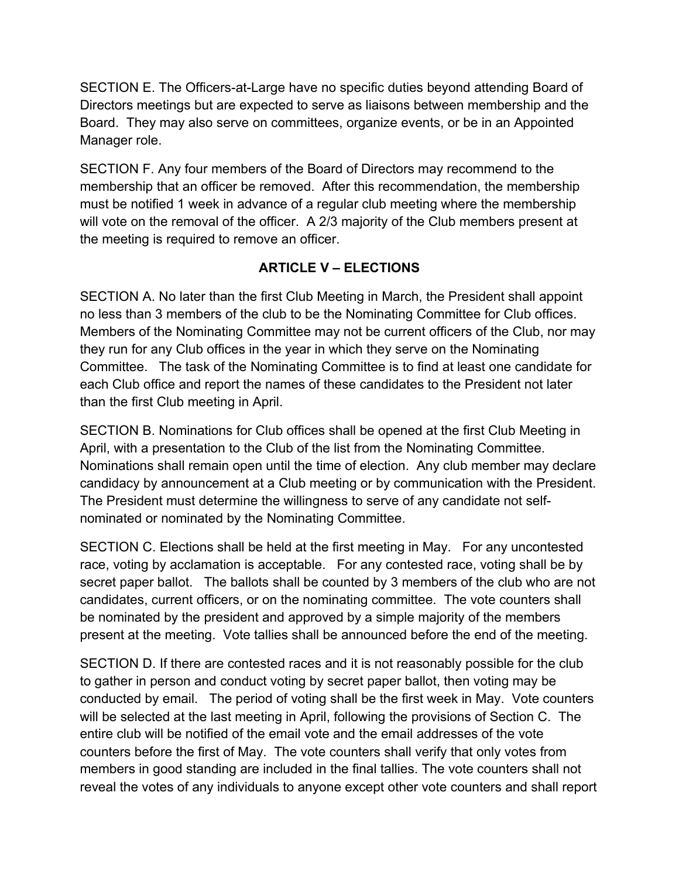SECTION E. The Officers-at-Large have no specific duties beyond attending Board of Directors meetings but are expected to serve as liaisons between membership and the Board. They may also serve on committees, organize events, or be in an Appointed Manager role.

SECTION F. Any four members of the Board of Directors may recommend to the membership that an officer be removed. After this recommendation, the membership must be notified 1 week in advance of a regular club meeting where the membership will vote on the removal of the officer. A 2/3 majority of the Club members present at the meeting is required to remove an officer.

## **ARTICLE V – ELECTIONS**

SECTION A. No later than the first Club Meeting in March, the President shall appoint no less than 3 members of the club to be the Nominating Committee for Club offices. Members of the Nominating Committee may not be current officers of the Club, nor may they run for any Club offices in the year in which they serve on the Nominating Committee. The task of the Nominating Committee is to find at least one candidate for each Club office and report the names of these candidates to the President not later than the first Club meeting in April.

SECTION B. Nominations for Club offices shall be opened at the first Club Meeting in April, with a presentation to the Club of the list from the Nominating Committee. Nominations shall remain open until the time of election. Any club member may declare candidacy by announcement at a Club meeting or by communication with the President. The President must determine the willingness to serve of any candidate not selfnominated or nominated by the Nominating Committee.

SECTION C. Elections shall be held at the first meeting in May. For any uncontested race, voting by acclamation is acceptable. For any contested race, voting shall be by secret paper ballot. The ballots shall be counted by 3 members of the club who are not candidates, current officers, or on the nominating committee. The vote counters shall be nominated by the president and approved by a simple majority of the members present at the meeting. Vote tallies shall be announced before the end of the meeting.

SECTION D. If there are contested races and it is not reasonably possible for the club to gather in person and conduct voting by secret paper ballot, then voting may be conducted by email. The period of voting shall be the first week in May. Vote counters will be selected at the last meeting in April, following the provisions of Section C. The entire club will be notified of the email vote and the email addresses of the vote counters before the first of May. The vote counters shall verify that only votes from members in good standing are included in the final tallies. The vote counters shall not reveal the votes of any individuals to anyone except other vote counters and shall report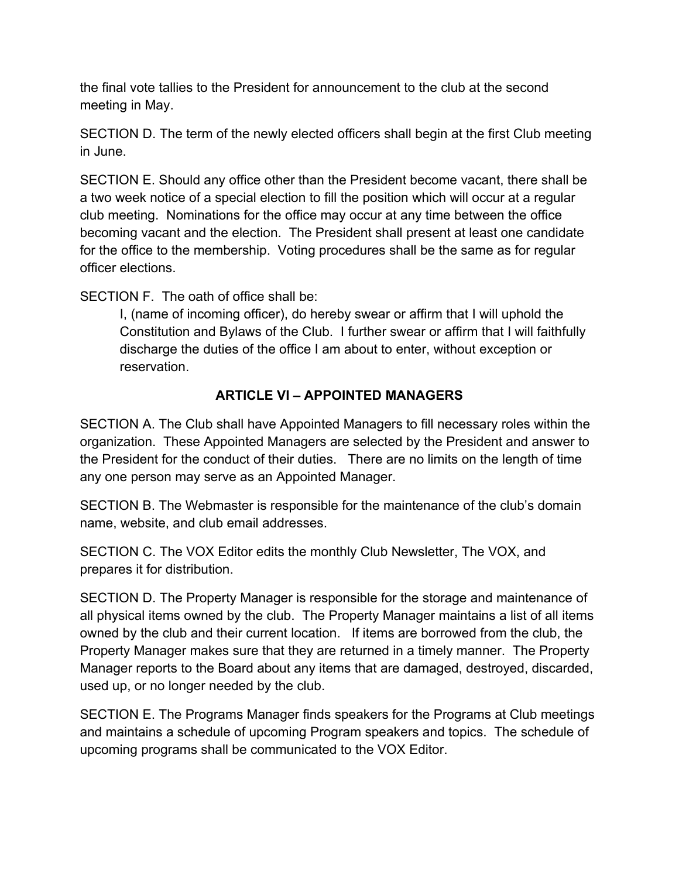the final vote tallies to the President for announcement to the club at the second meeting in May.

SECTION D. The term of the newly elected officers shall begin at the first Club meeting in June.

SECTION E. Should any office other than the President become vacant, there shall be a two week notice of a special election to fill the position which will occur at a regular club meeting. Nominations for the office may occur at any time between the office becoming vacant and the election. The President shall present at least one candidate for the office to the membership. Voting procedures shall be the same as for regular officer elections.

SECTION F. The oath of office shall be:

I, (name of incoming officer), do hereby swear or affirm that I will uphold the Constitution and Bylaws of the Club. I further swear or affirm that I will faithfully discharge the duties of the office I am about to enter, without exception or reservation.

## **ARTICLE VI – APPOINTED MANAGERS**

SECTION A. The Club shall have Appointed Managers to fill necessary roles within the organization. These Appointed Managers are selected by the President and answer to the President for the conduct of their duties. There are no limits on the length of time any one person may serve as an Appointed Manager.

SECTION B. The Webmaster is responsible for the maintenance of the club's domain name, website, and club email addresses.

SECTION C. The VOX Editor edits the monthly Club Newsletter, The VOX, and prepares it for distribution.

SECTION D. The Property Manager is responsible for the storage and maintenance of all physical items owned by the club. The Property Manager maintains a list of all items owned by the club and their current location. If items are borrowed from the club, the Property Manager makes sure that they are returned in a timely manner. The Property Manager reports to the Board about any items that are damaged, destroyed, discarded, used up, or no longer needed by the club.

SECTION E. The Programs Manager finds speakers for the Programs at Club meetings and maintains a schedule of upcoming Program speakers and topics. The schedule of upcoming programs shall be communicated to the VOX Editor.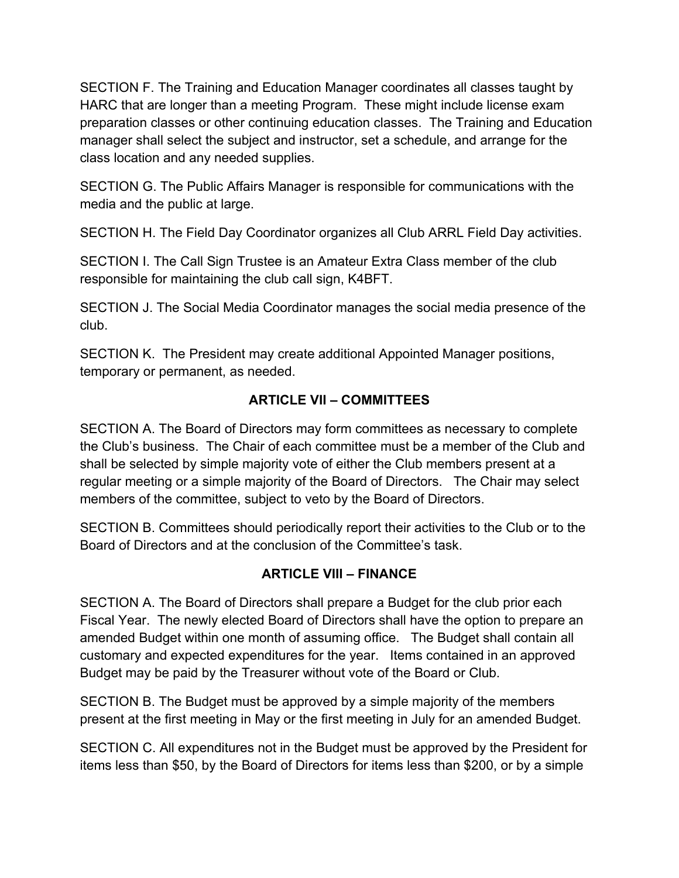SECTION F. The Training and Education Manager coordinates all classes taught by HARC that are longer than a meeting Program. These might include license exam preparation classes or other continuing education classes. The Training and Education manager shall select the subject and instructor, set a schedule, and arrange for the class location and any needed supplies.

SECTION G. The Public Affairs Manager is responsible for communications with the media and the public at large.

SECTION H. The Field Day Coordinator organizes all Club ARRL Field Day activities.

SECTION I. The Call Sign Trustee is an Amateur Extra Class member of the club responsible for maintaining the club call sign, K4BFT.

SECTION J. The Social Media Coordinator manages the social media presence of the club.

SECTION K. The President may create additional Appointed Manager positions, temporary or permanent, as needed.

## **ARTICLE VII – COMMITTEES**

SECTION A. The Board of Directors may form committees as necessary to complete the Club's business. The Chair of each committee must be a member of the Club and shall be selected by simple majority vote of either the Club members present at a regular meeting or a simple majority of the Board of Directors. The Chair may select members of the committee, subject to veto by the Board of Directors.

SECTION B. Committees should periodically report their activities to the Club or to the Board of Directors and at the conclusion of the Committee's task.

## **ARTICLE VIII – FINANCE**

SECTION A. The Board of Directors shall prepare a Budget for the club prior each Fiscal Year. The newly elected Board of Directors shall have the option to prepare an amended Budget within one month of assuming office. The Budget shall contain all customary and expected expenditures for the year. Items contained in an approved Budget may be paid by the Treasurer without vote of the Board or Club.

SECTION B. The Budget must be approved by a simple majority of the members present at the first meeting in May or the first meeting in July for an amended Budget.

SECTION C. All expenditures not in the Budget must be approved by the President for items less than \$50, by the Board of Directors for items less than \$200, or by a simple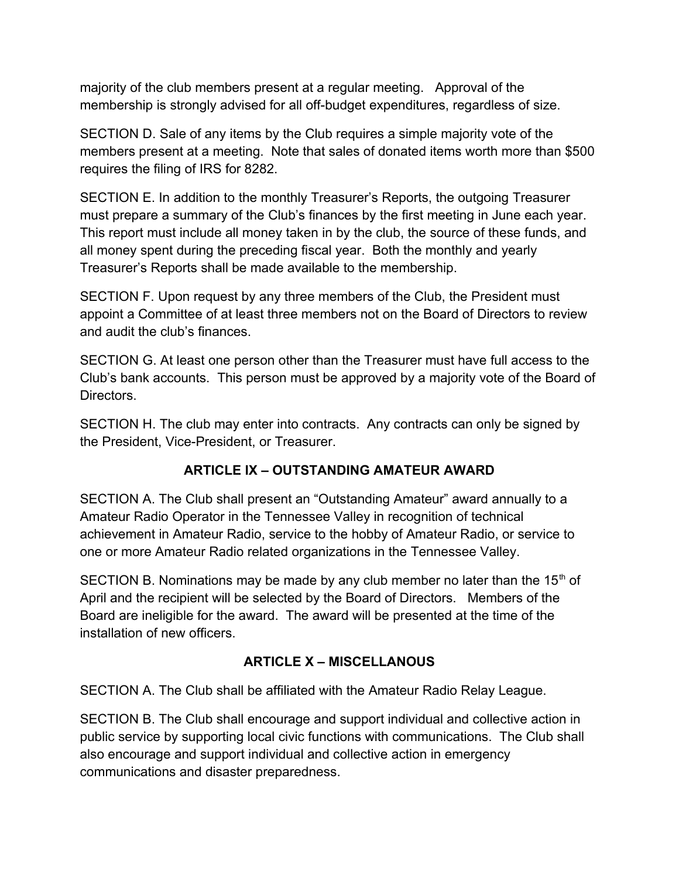majority of the club members present at a regular meeting. Approval of the membership is strongly advised for all off-budget expenditures, regardless of size.

SECTION D. Sale of any items by the Club requires a simple majority vote of the members present at a meeting. Note that sales of donated items worth more than \$500 requires the filing of IRS for 8282.

SECTION E. In addition to the monthly Treasurer's Reports, the outgoing Treasurer must prepare a summary of the Club's finances by the first meeting in June each year. This report must include all money taken in by the club, the source of these funds, and all money spent during the preceding fiscal year. Both the monthly and yearly Treasurer's Reports shall be made available to the membership.

SECTION F. Upon request by any three members of the Club, the President must appoint a Committee of at least three members not on the Board of Directors to review and audit the club's finances.

SECTION G. At least one person other than the Treasurer must have full access to the Club's bank accounts. This person must be approved by a majority vote of the Board of **Directors** 

SECTION H. The club may enter into contracts. Any contracts can only be signed by the President, Vice-President, or Treasurer.

## **ARTICLE IX – OUTSTANDING AMATEUR AWARD**

SECTION A. The Club shall present an "Outstanding Amateur" award annually to a Amateur Radio Operator in the Tennessee Valley in recognition of technical achievement in Amateur Radio, service to the hobby of Amateur Radio, or service to one or more Amateur Radio related organizations in the Tennessee Valley.

SECTION B. Nominations may be made by any club member no later than the  $15<sup>th</sup>$  of April and the recipient will be selected by the Board of Directors. Members of the Board are ineligible for the award. The award will be presented at the time of the installation of new officers.

### **ARTICLE X – MISCELLANOUS**

SECTION A. The Club shall be affiliated with the Amateur Radio Relay League.

SECTION B. The Club shall encourage and support individual and collective action in public service by supporting local civic functions with communications. The Club shall also encourage and support individual and collective action in emergency communications and disaster preparedness.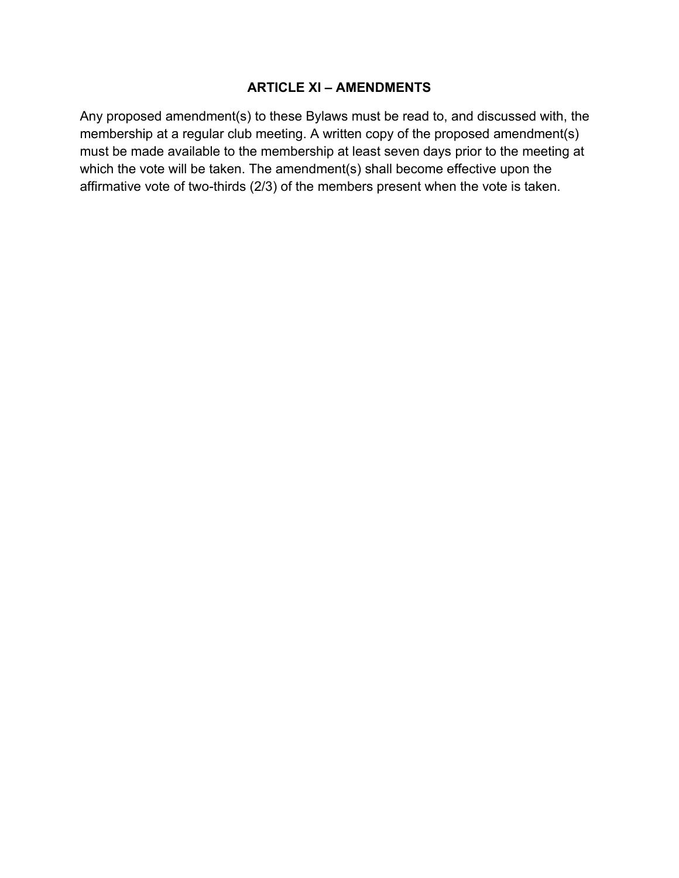### **ARTICLE XI – AMENDMENTS**

Any proposed amendment(s) to these Bylaws must be read to, and discussed with, the membership at a regular club meeting. A written copy of the proposed amendment(s) must be made available to the membership at least seven days prior to the meeting at which the vote will be taken. The amendment(s) shall become effective upon the affirmative vote of two-thirds (2/3) of the members present when the vote is taken.